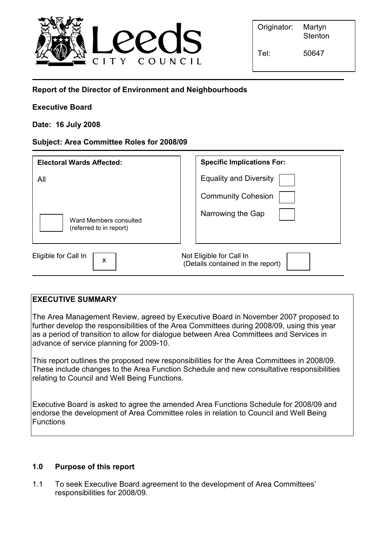

# Report of the Director of Environment and Neighbourhoods

## Executive Board

## Date: 16 July 2008

### Subject: Area Committee Roles for 2008/09

| <b>Electoral Wards Affected:</b>                  | <b>Specific Implications For:</b>                             |
|---------------------------------------------------|---------------------------------------------------------------|
| All                                               | <b>Equality and Diversity</b>                                 |
|                                                   | <b>Community Cohesion</b>                                     |
| Ward Members consulted<br>(referred to in report) | Narrowing the Gap                                             |
| Eligible for Call In<br>X                         | Not Eligible for Call In<br>(Details contained in the report) |

### EXECUTIVE SUMMARY

The Area Management Review, agreed by Executive Board in November 2007 proposed to further develop the responsibilities of the Area Committees during 2008/09, using this year as a period of transition to allow for dialogue between Area Committees and Services in advance of service planning for 2009-10.

This report outlines the proposed new responsibilities for the Area Committees in 2008/09. These include changes to the Area Function Schedule and new consultative responsibilities relating to Council and Well Being Functions.

Executive Board is asked to agree the amended Area Functions Schedule for 2008/09 and endorse the development of Area Committee roles in relation to Council and Well Being **Functions** 

### 1.0 Purpose of this report

1.1 To seek Executive Board agreement to the development of Area Committees' responsibilities for 2008/09.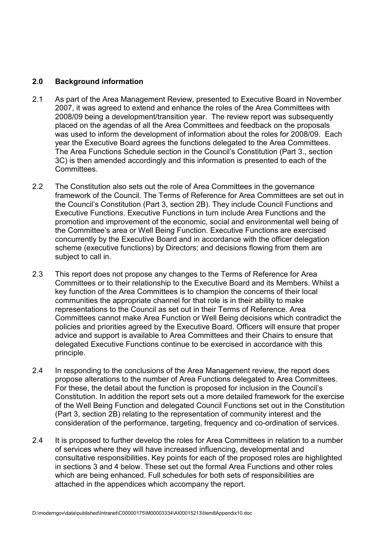### 2.0 Background information

- 2.1 As part of the Area Management Review, presented to Executive Board in November 2007, it was agreed to extend and enhance the roles of the Area Committees with 2008/09 being a development/transition year. The review report was subsequently placed on the agendas of all the Area Committees and feedback on the proposals was used to inform the development of information about the roles for 2008/09. Each year the Executive Board agrees the functions delegated to the Area Committees. The Area Functions Schedule section in the Council's Constitution (Part 3., section 3C) is then amended accordingly and this information is presented to each of the Committees.
- 2.2 The Constitution also sets out the role of Area Committees in the governance framework of the Council. The Terms of Reference for Area Committees are set out in the Council's Constitution (Part 3, section 2B). They include Council Functions and Executive Functions. Executive Functions in turn include Area Functions and the promotion and improvement of the economic, social and environmental well being of the Committee's area or Well Being Function. Executive Functions are exercised concurrently by the Executive Board and in accordance with the officer delegation scheme (executive functions) by Directors; and decisions flowing from them are subject to call in.
- 2.3 This report does not propose any changes to the Terms of Reference for Area Committees or to their relationship to the Executive Board and its Members. Whilst a key function of the Area Committees is to champion the concerns of their local communities the appropriate channel for that role is in their ability to make representations to the Council as set out in their Terms of Reference. Area Committees cannot make Area Function or Well Being decisions which contradict the policies and priorities agreed by the Executive Board. Officers will ensure that proper advice and support is available to Area Committees and their Chairs to ensure that delegated Executive Functions continue to be exercised in accordance with this principle.
- 2.4 In responding to the conclusions of the Area Management review, the report does propose alterations to the number of Area Functions delegated to Area Committees. For these, the detail about the function is proposed for inclusion in the Council's Constitution. In addition the report sets out a more detailed framework for the exercise of the Well Being Function and delegated Council Functions set out in the Constitution (Part 3, section 2B) relating to the representation of community interest and the consideration of the performance, targeting, frequency and co-ordination of services.
- 2.4 It is proposed to further develop the roles for Area Committees in relation to a number of services where they will have increased influencing, developmental and consultative responsibilities. Key points for each of the proposed roles are highlighted in sections 3 and 4 below. These set out the formal Area Functions and other roles which are being enhanced. Full schedules for both sets of responsibilities are attached in the appendices which accompany the report.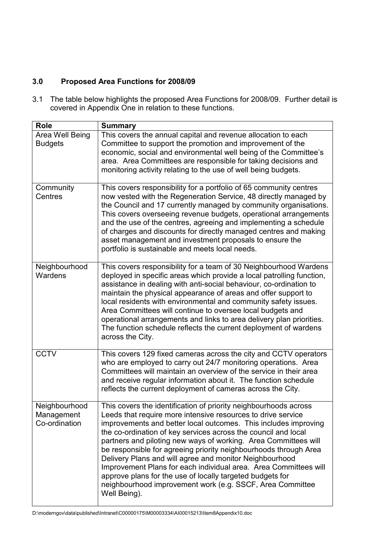# 3.0 Proposed Area Functions for 2008/09

3.1 The table below highlights the proposed Area Functions for 2008/09. Further detail is covered in Appendix One in relation to these functions.

| <b>Role</b>                                  | <b>Summary</b>                                                                                                                                                                                                                                                                                                                                                                                                                                                                                                                                                                                                                                                                        |
|----------------------------------------------|---------------------------------------------------------------------------------------------------------------------------------------------------------------------------------------------------------------------------------------------------------------------------------------------------------------------------------------------------------------------------------------------------------------------------------------------------------------------------------------------------------------------------------------------------------------------------------------------------------------------------------------------------------------------------------------|
| Area Well Being<br><b>Budgets</b>            | This covers the annual capital and revenue allocation to each<br>Committee to support the promotion and improvement of the<br>economic, social and environmental well being of the Committee's<br>area. Area Committees are responsible for taking decisions and<br>monitoring activity relating to the use of well being budgets.                                                                                                                                                                                                                                                                                                                                                    |
| Community<br>Centres                         | This covers responsibility for a portfolio of 65 community centres<br>now vested with the Regeneration Service, 48 directly managed by<br>the Council and 17 currently managed by community organisations.<br>This covers overseeing revenue budgets, operational arrangements<br>and the use of the centres, agreeing and implementing a schedule<br>of charges and discounts for directly managed centres and making<br>asset management and investment proposals to ensure the<br>portfolio is sustainable and meets local needs.                                                                                                                                                  |
| Neighbourhood<br>Wardens                     | This covers responsibility for a team of 30 Neighbourhood Wardens<br>deployed in specific areas which provide a local patrolling function,<br>assistance in dealing with anti-social behaviour, co-ordination to<br>maintain the physical appearance of areas and offer support to<br>local residents with environmental and community safety issues.<br>Area Committees will continue to oversee local budgets and<br>operational arrangements and links to area delivery plan priorities.<br>The function schedule reflects the current deployment of wardens<br>across the City.                                                                                                   |
| <b>CCTV</b>                                  | This covers 129 fixed cameras across the city and CCTV operators<br>who are employed to carry out 24/7 monitoring operations. Area<br>Committees will maintain an overview of the service in their area<br>and receive regular information about it. The function schedule<br>reflects the current deployment of cameras across the City.                                                                                                                                                                                                                                                                                                                                             |
| Neighbourhood<br>Management<br>Co-ordination | This covers the identification of priority neighbourhoods across<br>Leeds that require more intensive resources to drive service<br>improvements and better local outcomes. This includes improving<br>the co-ordination of key services across the council and local<br>partners and piloting new ways of working. Area Committees will<br>be responsible for agreeing priority neighbourhoods through Area<br>Delivery Plans and will agree and monitor Neighbourhood<br>Improvement Plans for each individual area. Area Committees will<br>approve plans for the use of locally targeted budgets for<br>neighbourhood improvement work (e.g. SSCF, Area Committee<br>Well Being). |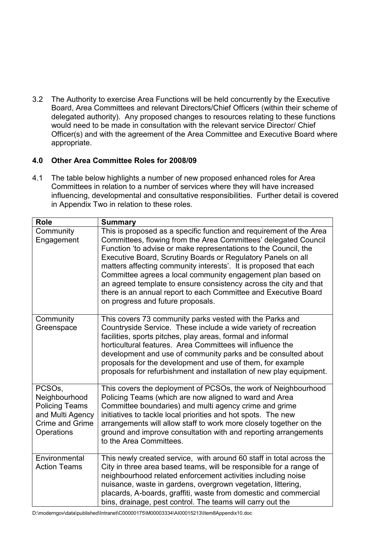3.2 The Authority to exercise Area Functions will be held concurrently by the Executive Board, Area Committees and relevant Directors/Chief Officers (within their scheme of delegated authority). Any proposed changes to resources relating to these functions would need to be made in consultation with the relevant service Director/ Chief Officer(s) and with the agreement of the Area Committee and Executive Board where appropriate.

# 4.0 Other Area Committee Roles for 2008/09

4.1 The table below highlights a number of new proposed enhanced roles for Area Committees in relation to a number of services where they will have increased influencing, developmental and consultative responsibilities. Further detail is covered in Appendix Two in relation to these roles.

| <b>Role</b>                                                                                                             | <b>Summary</b>                                                                                                                                                                                                                                                                                                                                                                                                                                                                                                                                                                            |
|-------------------------------------------------------------------------------------------------------------------------|-------------------------------------------------------------------------------------------------------------------------------------------------------------------------------------------------------------------------------------------------------------------------------------------------------------------------------------------------------------------------------------------------------------------------------------------------------------------------------------------------------------------------------------------------------------------------------------------|
| Community<br>Engagement                                                                                                 | This is proposed as a specific function and requirement of the Area<br>Committees, flowing from the Area Committees' delegated Council<br>Function 'to advise or make representations to the Council, the<br>Executive Board, Scrutiny Boards or Regulatory Panels on all<br>matters affecting community interests'. It is proposed that each<br>Committee agrees a local community engagement plan based on<br>an agreed template to ensure consistency across the city and that<br>there is an annual report to each Committee and Executive Board<br>on progress and future proposals. |
| Community<br>Greenspace                                                                                                 | This covers 73 community parks vested with the Parks and<br>Countryside Service. These include a wide variety of recreation<br>facilities, sports pitches, play areas, formal and informal<br>horticultural features. Area Committees will influence the<br>development and use of community parks and be consulted about<br>proposals for the development and use of them, for example<br>proposals for refurbishment and installation of new play equipment.                                                                                                                            |
| PCSO <sub>s</sub><br>Neighbourhood<br><b>Policing Teams</b><br>and Multi Agency<br><b>Crime and Grime</b><br>Operations | This covers the deployment of PCSOs, the work of Neighbourhood<br>Policing Teams (which are now aligned to ward and Area<br>Committee boundaries) and multi agency crime and grime<br>initiatives to tackle local priorities and hot spots. The new<br>arrangements will allow staff to work more closely together on the<br>ground and improve consultation with and reporting arrangements<br>to the Area Committees.                                                                                                                                                                   |
| Environmental<br><b>Action Teams</b>                                                                                    | This newly created service, with around 60 staff in total across the<br>City in three area based teams, will be responsible for a range of<br>neighbourhood related enforcement activities including noise<br>nuisance, waste in gardens, overgrown vegetation, littering,<br>placards, A-boards, graffiti, waste from domestic and commercial<br>bins, drainage, pest control. The teams will carry out the                                                                                                                                                                              |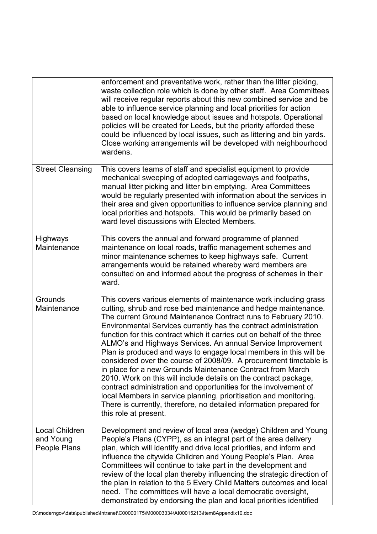|                                                    | enforcement and preventative work, rather than the litter picking,<br>waste collection role which is done by other staff. Area Committees<br>will receive regular reports about this new combined service and be<br>able to influence service planning and local priorities for action<br>based on local knowledge about issues and hotspots. Operational<br>policies will be created for Leeds, but the priority afforded these<br>could be influenced by local issues, such as littering and bin yards.<br>Close working arrangements will be developed with neighbourhood<br>wardens.                                                                                                                                                                                                                                                                                                                                               |
|----------------------------------------------------|----------------------------------------------------------------------------------------------------------------------------------------------------------------------------------------------------------------------------------------------------------------------------------------------------------------------------------------------------------------------------------------------------------------------------------------------------------------------------------------------------------------------------------------------------------------------------------------------------------------------------------------------------------------------------------------------------------------------------------------------------------------------------------------------------------------------------------------------------------------------------------------------------------------------------------------|
| <b>Street Cleansing</b>                            | This covers teams of staff and specialist equipment to provide<br>mechanical sweeping of adopted carriageways and footpaths,<br>manual litter picking and litter bin emptying. Area Committees<br>would be regularly presented with information about the services in<br>their area and given opportunities to influence service planning and<br>local priorities and hotspots. This would be primarily based on<br>ward level discussions with Elected Members.                                                                                                                                                                                                                                                                                                                                                                                                                                                                       |
| Highways<br>Maintenance                            | This covers the annual and forward programme of planned<br>maintenance on local roads, traffic management schemes and<br>minor maintenance schemes to keep highways safe. Current<br>arrangements would be retained whereby ward members are<br>consulted on and informed about the progress of schemes in their<br>ward.                                                                                                                                                                                                                                                                                                                                                                                                                                                                                                                                                                                                              |
| Grounds<br>Maintenance                             | This covers various elements of maintenance work including grass<br>cutting, shrub and rose bed maintenance and hedge maintenance.<br>The current Ground Maintenance Contract runs to February 2010.<br>Environmental Services currently has the contract administration<br>function for this contract which it carries out on behalf of the three<br>ALMO's and Highways Services. An annual Service Improvement<br>Plan is produced and ways to engage local members in this will be<br>considered over the course of 2008/09. A procurement timetable is<br>in place for a new Grounds Maintenance Contract from March<br>2010. Work on this will include details on the contract package,<br>contract administration and opportunities for the involvement of<br>local Members in service planning, prioritisation and monitoring.<br>There is currently, therefore, no detailed information prepared for<br>this role at present. |
| <b>Local Children</b><br>and Young<br>People Plans | Development and review of local area (wedge) Children and Young<br>People's Plans (CYPP), as an integral part of the area delivery<br>plan, which will identify and drive local priorities, and inform and<br>influence the citywide Children and Young People's Plan. Area<br>Committees will continue to take part in the development and<br>review of the local plan thereby influencing the strategic direction of<br>the plan in relation to the 5 Every Child Matters outcomes and local<br>need. The committees will have a local democratic oversight,<br>demonstrated by endorsing the plan and local priorities identified                                                                                                                                                                                                                                                                                                   |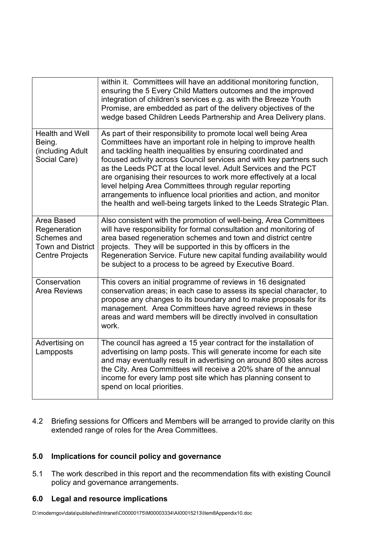|                                                                                                 | within it. Committees will have an additional monitoring function,<br>ensuring the 5 Every Child Matters outcomes and the improved<br>integration of children's services e.g. as with the Breeze Youth<br>Promise, are embedded as part of the delivery objectives of the<br>wedge based Children Leeds Partnership and Area Delivery plans.                                                                                                                                                                                                                                                                                 |
|-------------------------------------------------------------------------------------------------|------------------------------------------------------------------------------------------------------------------------------------------------------------------------------------------------------------------------------------------------------------------------------------------------------------------------------------------------------------------------------------------------------------------------------------------------------------------------------------------------------------------------------------------------------------------------------------------------------------------------------|
| <b>Health and Well</b><br>Being.<br>(including Adult<br>Social Care)                            | As part of their responsibility to promote local well being Area<br>Committees have an important role in helping to improve health<br>and tackling health inequalities by ensuring coordinated and<br>focused activity across Council services and with key partners such<br>as the Leeds PCT at the local level. Adult Services and the PCT<br>are organising their resources to work more effectively at a local<br>level helping Area Committees through regular reporting<br>arrangements to influence local priorities and action, and monitor<br>the health and well-being targets linked to the Leeds Strategic Plan. |
| Area Based<br>Regeneration<br>Schemes and<br><b>Town and District</b><br><b>Centre Projects</b> | Also consistent with the promotion of well-being, Area Committees<br>will have responsibility for formal consultation and monitoring of<br>area based regeneration schemes and town and district centre<br>projects. They will be supported in this by officers in the<br>Regeneration Service. Future new capital funding availability would<br>be subject to a process to be agreed by Executive Board.                                                                                                                                                                                                                    |
| Conservation<br><b>Area Reviews</b>                                                             | This covers an initial programme of reviews in 16 designated<br>conservation areas; in each case to assess its special character, to<br>propose any changes to its boundary and to make proposals for its<br>management. Area Committees have agreed reviews in these<br>areas and ward members will be directly involved in consultation<br>work.                                                                                                                                                                                                                                                                           |
| Advertising on<br>Lampposts                                                                     | The council has agreed a 15 year contract for the installation of<br>advertising on lamp posts. This will generate income for each site<br>and may eventually result in advertising on around 800 sites across<br>the City. Area Committees will receive a 20% share of the annual<br>income for every lamp post site which has planning consent to<br>spend on local priorities.                                                                                                                                                                                                                                            |

4.2 Briefing sessions for Officers and Members will be arranged to provide clarity on this extended range of roles for the Area Committees.

## 5.0 Implications for council policy and governance

5.1 The work described in this report and the recommendation fits with existing Council policy and governance arrangements.

# 6.0 Legal and resource implications